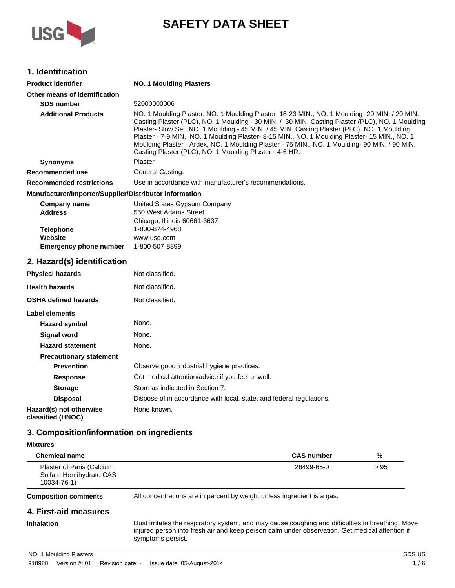

# **SAFETY DATA SHEET**

# **1. Identification**

| <b>Product identifier</b>                                    | <b>NO. 1 Moulding Plasters</b>                                                                                                                                                                                                                                                                                                                                                                                                                                                                                                                              |
|--------------------------------------------------------------|-------------------------------------------------------------------------------------------------------------------------------------------------------------------------------------------------------------------------------------------------------------------------------------------------------------------------------------------------------------------------------------------------------------------------------------------------------------------------------------------------------------------------------------------------------------|
| Other means of identification                                |                                                                                                                                                                                                                                                                                                                                                                                                                                                                                                                                                             |
| <b>SDS number</b>                                            | 52000000006                                                                                                                                                                                                                                                                                                                                                                                                                                                                                                                                                 |
| <b>Additional Products</b>                                   | NO. 1 Moulding Plaster, NO. 1 Moulding Plaster 18-23 MIN., NO. 1 Moulding- 20 MIN. / 20 MIN.<br>Casting Plaster (PLC), NO. 1 Moulding - 30 MIN. / 30 MIN. Casting Plaster (PLC), NO. 1 Moulding<br>Plaster- Slow Set, NO. 1 Moulding - 45 MIN. / 45 MIN. Casting Plaster (PLC), NO. 1 Moulding<br>Plaster - 7-9 MIN., NO. 1 Moulding Plaster- 8-15 MIN., NO. 1 Moulding Plaster- 15 MIN., NO. 1<br>Moulding Plaster - Ardex, NO. 1 Moulding Plaster - 75 MIN., NO. 1 Moulding- 90 MIN. / 90 MIN.<br>Casting Plaster (PLC), NO. 1 Moulding Plaster - 4-6 HR. |
| <b>Synonyms</b>                                              | <b>Plaster</b>                                                                                                                                                                                                                                                                                                                                                                                                                                                                                                                                              |
| Recommended use                                              | General Casting.                                                                                                                                                                                                                                                                                                                                                                                                                                                                                                                                            |
| <b>Recommended restrictions</b>                              | Use in accordance with manufacturer's recommendations.                                                                                                                                                                                                                                                                                                                                                                                                                                                                                                      |
| Manufacturer/Importer/Supplier/Distributor information       |                                                                                                                                                                                                                                                                                                                                                                                                                                                                                                                                                             |
| <b>Company name</b><br><b>Address</b>                        | United States Gypsum Company<br>550 West Adams Street<br>Chicago, Illinois 60661-3637                                                                                                                                                                                                                                                                                                                                                                                                                                                                       |
| <b>Telephone</b><br>Website<br><b>Emergency phone number</b> | 1-800-874-4968<br>www.usg.com<br>1-800-507-8899                                                                                                                                                                                                                                                                                                                                                                                                                                                                                                             |
| 2. Hazard(s) identification                                  |                                                                                                                                                                                                                                                                                                                                                                                                                                                                                                                                                             |
| <b>Physical hazards</b>                                      | Not classified.                                                                                                                                                                                                                                                                                                                                                                                                                                                                                                                                             |
| <b>Health hazards</b>                                        | Not classified.                                                                                                                                                                                                                                                                                                                                                                                                                                                                                                                                             |
| OSHA defined hazards                                         | Not classified.                                                                                                                                                                                                                                                                                                                                                                                                                                                                                                                                             |
| Label elements                                               |                                                                                                                                                                                                                                                                                                                                                                                                                                                                                                                                                             |
| <b>Hazard symbol</b>                                         | None.                                                                                                                                                                                                                                                                                                                                                                                                                                                                                                                                                       |
| <b>Signal word</b>                                           | None.                                                                                                                                                                                                                                                                                                                                                                                                                                                                                                                                                       |
| <b>Hazard statement</b>                                      | None.                                                                                                                                                                                                                                                                                                                                                                                                                                                                                                                                                       |
| <b>Precautionary statement</b>                               |                                                                                                                                                                                                                                                                                                                                                                                                                                                                                                                                                             |
| <b>Prevention</b>                                            | Observe good industrial hygiene practices.                                                                                                                                                                                                                                                                                                                                                                                                                                                                                                                  |
| <b>Response</b>                                              | Get medical attention/advice if you feel unwell.                                                                                                                                                                                                                                                                                                                                                                                                                                                                                                            |
| <b>Storage</b>                                               | Store as indicated in Section 7.                                                                                                                                                                                                                                                                                                                                                                                                                                                                                                                            |
| <b>Disposal</b>                                              | Dispose of in accordance with local, state, and federal regulations.                                                                                                                                                                                                                                                                                                                                                                                                                                                                                        |
| Hazard(s) not otherwise<br>classified (HNOC)                 | None known.                                                                                                                                                                                                                                                                                                                                                                                                                                                                                                                                                 |

# **3. Composition/information on ingredients**

| <b>Mixtures</b> |  |
|-----------------|--|
|-----------------|--|

| <b>Chemical name</b>                                                |                                                                                                                                                                                                                          | <b>CAS number</b> | %      |
|---------------------------------------------------------------------|--------------------------------------------------------------------------------------------------------------------------------------------------------------------------------------------------------------------------|-------------------|--------|
| Plaster of Paris (Calcium<br>Sulfate Hemihydrate CAS<br>10034-76-1) |                                                                                                                                                                                                                          | 26499-65-0        | > 95   |
| <b>Composition comments</b>                                         | All concentrations are in percent by weight unless ingredient is a gas.                                                                                                                                                  |                   |        |
| 4. First-aid measures                                               |                                                                                                                                                                                                                          |                   |        |
| Inhalation                                                          | Dust irritates the respiratory system, and may cause coughing and difficulties in breathing. Move<br>injured person into fresh air and keep person calm under observation. Get medical attention if<br>symptoms persist. |                   |        |
| NO. 1 Moulding Plasters                                             |                                                                                                                                                                                                                          |                   | SDS US |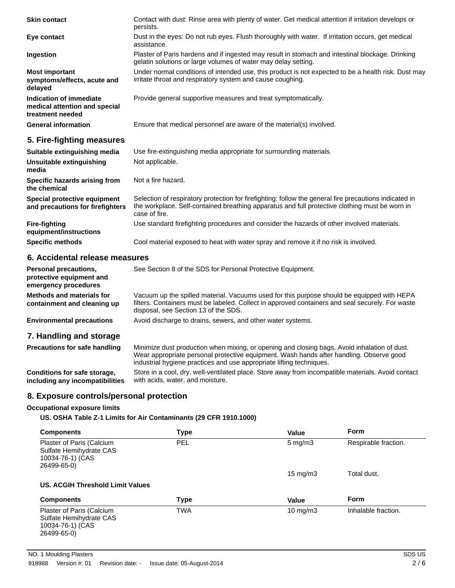| <b>Skin contact</b>                                                          | Contact with dust: Rinse area with plenty of water. Get medical attention if irritation develops or<br>persists.                                                                                                          |
|------------------------------------------------------------------------------|---------------------------------------------------------------------------------------------------------------------------------------------------------------------------------------------------------------------------|
| Eye contact                                                                  | Dust in the eyes: Do not rub eyes. Flush thoroughly with water. If irritation occurs, get medical<br>assistance.                                                                                                          |
| Ingestion                                                                    | Plaster of Paris hardens and if ingested may result in stomach and intestinal blockage. Drinking<br>gelatin solutions or large volumes of water may delay setting.                                                        |
| <b>Most important</b><br>symptoms/effects, acute and<br>delayed              | Under normal conditions of intended use, this product is not expected to be a health risk. Dust may<br>irritate throat and respiratory system and cause coughing.                                                         |
| Indication of immediate<br>medical attention and special<br>treatment needed | Provide general supportive measures and treat symptomatically.                                                                                                                                                            |
| <b>General information</b>                                                   | Ensure that medical personnel are aware of the material(s) involved.                                                                                                                                                      |
| 5. Fire-fighting measures                                                    |                                                                                                                                                                                                                           |
| Suitable extinguishing media                                                 | Use fire-extinguishing media appropriate for surrounding materials.                                                                                                                                                       |
| Unsuitable extinguishing<br>media                                            | Not applicable.                                                                                                                                                                                                           |
| Specific hazards arising from<br>the chemical                                | Not a fire hazard.                                                                                                                                                                                                        |
| Special protective equipment<br>and precautions for firefighters             | Selection of respiratory protection for firefighting: follow the general fire precautions indicated in<br>the workplace. Self-contained breathing apparatus and full protective clothing must be worn in<br>case of fire. |
| <b>Fire-fighting</b><br>equipment/instructions                               | Use standard firefighting procedures and consider the hazards of other involved materials.                                                                                                                                |
| <b>Specific methods</b>                                                      | Cool material exposed to heat with water spray and remove it if no risk is involved.                                                                                                                                      |

# **6. Accidental release measures**

| Personal precautions,<br>protective equipment and<br>emergency procedures | See Section 8 of the SDS for Personal Protective Equipment.                                                                                                                                                                                                     |
|---------------------------------------------------------------------------|-----------------------------------------------------------------------------------------------------------------------------------------------------------------------------------------------------------------------------------------------------------------|
| Methods and materials for<br>containment and cleaning up                  | Vacuum up the spilled material. Vacuums used for this purpose should be equipped with HEPA<br>filters. Containers must be labeled. Collect in approved containers and seal securely. For waste<br>disposal, see Section 13 of the SDS.                          |
| <b>Environmental precautions</b>                                          | Avoid discharge to drains, sewers, and other water systems.                                                                                                                                                                                                     |
| 7. Handling and storage                                                   |                                                                                                                                                                                                                                                                 |
| <b>Precautions for safe handling</b>                                      | Minimize dust production when mixing, or opening and closing bags. Avoid inhalation of dust.<br>Wear appropriate personal protective equipment. Wash hands after handling. Observe good<br>industrial hygiene practices and use appropriate lifting techniques. |
| Conditions for safe storage,<br>including any incompatibilities           | Store in a cool, dry, well-ventilated place. Store away from incompatible materials. Avoid contact<br>with acids, water, and moisture.                                                                                                                          |

# **8. Exposure controls/personal protection**

### **Occupational exposure limits**

**US. OSHA Table Z-1 Limits for Air Contaminants (29 CFR 1910.1000)**

| <b>Components</b>                                                                       | <b>Type</b> | Value              | <b>Form</b>          |
|-----------------------------------------------------------------------------------------|-------------|--------------------|----------------------|
| Plaster of Paris (Calcium<br>Sulfate Hemihydrate CAS<br>10034-76-1) (CAS<br>26499-65-0) | <b>PEL</b>  | $5 \text{ mg/m}$ 3 | Respirable fraction. |
|                                                                                         |             | 15 mg/m $3$        | Total dust.          |
| US. ACGIH Threshold Limit Values                                                        |             |                    |                      |
| <b>Components</b>                                                                       | <b>Type</b> | Value              | Form                 |
| Plaster of Paris (Calcium<br>Sulfate Hemihydrate CAS<br>10034-76-1) (CAS<br>26499-65-0) | <b>TWA</b>  | $10 \text{ mg/m}$  | Inhalable fraction.  |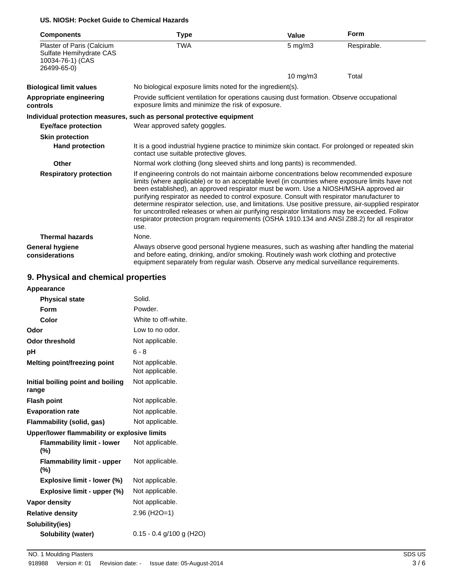### **US. NIOSH: Pocket Guide to Chemical Hazards**

| <b>Components</b>                                                                       | <b>Type</b>                                                                                                                                                                                                                                                                                                                                                                                                                                                                                                                                                                                                                                                                                              | <b>Value</b> | <b>Form</b> |
|-----------------------------------------------------------------------------------------|----------------------------------------------------------------------------------------------------------------------------------------------------------------------------------------------------------------------------------------------------------------------------------------------------------------------------------------------------------------------------------------------------------------------------------------------------------------------------------------------------------------------------------------------------------------------------------------------------------------------------------------------------------------------------------------------------------|--------------|-------------|
| Plaster of Paris (Calcium<br>Sulfate Hemihydrate CAS<br>10034-76-1) (CAS<br>26499-65-0) | <b>TWA</b>                                                                                                                                                                                                                                                                                                                                                                                                                                                                                                                                                                                                                                                                                               | $5$ mg/m $3$ | Respirable. |
|                                                                                         |                                                                                                                                                                                                                                                                                                                                                                                                                                                                                                                                                                                                                                                                                                          | 10 mg/m3     | Total       |
| <b>Biological limit values</b>                                                          | No biological exposure limits noted for the ingredient(s).                                                                                                                                                                                                                                                                                                                                                                                                                                                                                                                                                                                                                                               |              |             |
| Appropriate engineering<br>controls                                                     | Provide sufficient ventilation for operations causing dust formation. Observe occupational<br>exposure limits and minimize the risk of exposure.                                                                                                                                                                                                                                                                                                                                                                                                                                                                                                                                                         |              |             |
|                                                                                         | Individual protection measures, such as personal protective equipment                                                                                                                                                                                                                                                                                                                                                                                                                                                                                                                                                                                                                                    |              |             |
| <b>Eye/face protection</b>                                                              | Wear approved safety goggles.                                                                                                                                                                                                                                                                                                                                                                                                                                                                                                                                                                                                                                                                            |              |             |
| <b>Skin protection</b>                                                                  |                                                                                                                                                                                                                                                                                                                                                                                                                                                                                                                                                                                                                                                                                                          |              |             |
| <b>Hand protection</b>                                                                  | It is a good industrial hygiene practice to minimize skin contact. For prolonged or repeated skin<br>contact use suitable protective gloves.                                                                                                                                                                                                                                                                                                                                                                                                                                                                                                                                                             |              |             |
| Other                                                                                   | Normal work clothing (long sleeved shirts and long pants) is recommended.                                                                                                                                                                                                                                                                                                                                                                                                                                                                                                                                                                                                                                |              |             |
| <b>Respiratory protection</b>                                                           | If engineering controls do not maintain airborne concentrations below recommended exposure<br>limits (where applicable) or to an acceptable level (in countries where exposure limits have not<br>been established), an approved respirator must be worn. Use a NIOSH/MSHA approved air<br>purifying respirator as needed to control exposure. Consult with respirator manufacturer to<br>determine respirator selection, use, and limitations. Use positive pressure, air-supplied respirator<br>for uncontrolled releases or when air purifying respirator limitations may be exceeded. Follow<br>respirator protection program requirements (OSHA 1910.134 and ANSI Z88.2) for all respirator<br>use. |              |             |
| <b>Thermal hazards</b>                                                                  | None.                                                                                                                                                                                                                                                                                                                                                                                                                                                                                                                                                                                                                                                                                                    |              |             |
| <b>General hygiene</b><br>considerations                                                | Always observe good personal hygiene measures, such as washing after handling the material<br>and before eating, drinking, and/or smoking. Routinely wash work clothing and protective<br>equipment separately from regular wash. Observe any medical surveillance requirements.                                                                                                                                                                                                                                                                                                                                                                                                                         |              |             |

# **9. Physical and chemical properties**

| Solid.                                       |
|----------------------------------------------|
|                                              |
| Powder.                                      |
| White to off-white.                          |
| Low to no odor.                              |
| Not applicable.                              |
| $6 - 8$                                      |
| Not applicable.<br>Not applicable.           |
| Not applicable.                              |
| Not applicable.                              |
| Not applicable.                              |
| Not applicable.                              |
| Upper/lower flammability or explosive limits |
| Not applicable.                              |
| Not applicable.                              |
| Not applicable.                              |
| Not applicable.                              |
| Not applicable.                              |
| $2.96$ (H <sub>2</sub> O=1)                  |
|                                              |
| $0.15 - 0.4$ g/100 g (H2O)                   |
|                                              |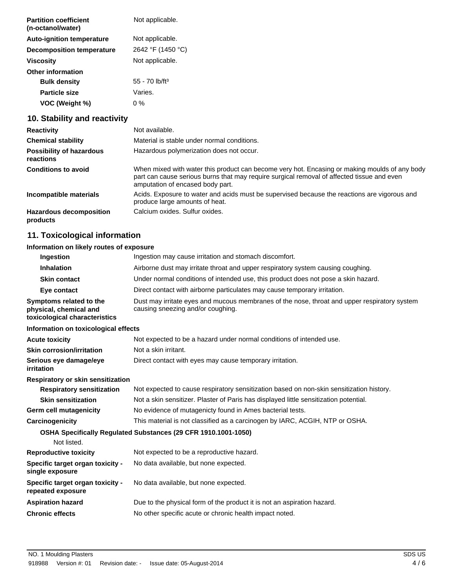| <b>Partition coefficient</b><br>(n-octanol/water) | Not applicable.              |
|---------------------------------------------------|------------------------------|
| <b>Auto-ignition temperature</b>                  | Not applicable.              |
| <b>Decomposition temperature</b>                  | 2642 °F (1450 °C)            |
| Viscosity                                         | Not applicable.              |
| <b>Other information</b>                          |                              |
| <b>Bulk density</b>                               | $55 - 70$ lb/ft <sup>3</sup> |
| <b>Particle size</b>                              | Varies.                      |
| VOC (Weight %)                                    | 0 %                          |

# **10. Stability and reactivity**

| <b>Reactivity</b>                            | Not available.                                                                                                                                                                                                                  |
|----------------------------------------------|---------------------------------------------------------------------------------------------------------------------------------------------------------------------------------------------------------------------------------|
| <b>Chemical stability</b>                    | Material is stable under normal conditions.                                                                                                                                                                                     |
| <b>Possibility of hazardous</b><br>reactions | Hazardous polymerization does not occur.                                                                                                                                                                                        |
| <b>Conditions to avoid</b>                   | When mixed with water this product can become very hot. Encasing or making moulds of any body<br>part can cause serious burns that may require surgical removal of affected tissue and even<br>amputation of encased body part. |
| Incompatible materials                       | Acids. Exposure to water and acids must be supervised because the reactions are vigorous and<br>produce large amounts of heat.                                                                                                  |
| <b>Hazardous decomposition</b><br>products   | Calcium oxides. Sulfur oxides.                                                                                                                                                                                                  |

# **11. Toxicological information**

# **Information on likely routes of exposure**

| Ingestion                                                                          | Ingestion may cause irritation and stomach discomfort.                                                                            |
|------------------------------------------------------------------------------------|-----------------------------------------------------------------------------------------------------------------------------------|
| <b>Inhalation</b>                                                                  | Airborne dust may irritate throat and upper respiratory system causing coughing.                                                  |
| <b>Skin contact</b>                                                                | Under normal conditions of intended use, this product does not pose a skin hazard.                                                |
| Eye contact                                                                        | Direct contact with airborne particulates may cause temporary irritation.                                                         |
| Symptoms related to the<br>physical, chemical and<br>toxicological characteristics | Dust may irritate eyes and mucous membranes of the nose, throat and upper respiratory system<br>causing sneezing and/or coughing. |
| Information on toxicological effects                                               |                                                                                                                                   |
| <b>Acute toxicity</b>                                                              | Not expected to be a hazard under normal conditions of intended use.                                                              |
| <b>Skin corrosion/irritation</b>                                                   | Not a skin irritant.                                                                                                              |
| Serious eye damage/eye<br>irritation                                               | Direct contact with eyes may cause temporary irritation.                                                                          |
| Respiratory or skin sensitization                                                  |                                                                                                                                   |
| <b>Respiratory sensitization</b>                                                   | Not expected to cause respiratory sensitization based on non-skin sensitization history.                                          |
| <b>Skin sensitization</b>                                                          | Not a skin sensitizer. Plaster of Paris has displayed little sensitization potential.                                             |
| Germ cell mutagenicity                                                             | No evidence of mutagenicty found in Ames bacterial tests.                                                                         |
| Carcinogenicity                                                                    | This material is not classified as a carcinogen by IARC, ACGIH, NTP or OSHA.                                                      |
| Not listed.                                                                        | <b>OSHA Specifically Requiated Substances (29 CFR 1910.1001-1050)</b>                                                             |
| <b>Reproductive toxicity</b>                                                       | Not expected to be a reproductive hazard.                                                                                         |
| Specific target organ toxicity -<br>single exposure                                | No data available, but none expected.                                                                                             |
| Specific target organ toxicity -<br>repeated exposure                              | No data available, but none expected.                                                                                             |
| <b>Aspiration hazard</b>                                                           | Due to the physical form of the product it is not an aspiration hazard.                                                           |
| <b>Chronic effects</b>                                                             | No other specific acute or chronic health impact noted.                                                                           |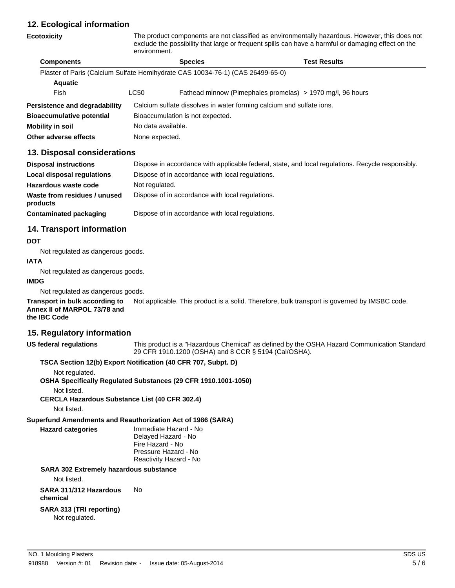# **12. Ecological information**

# **Ecotoxicity** The product components are not classified as environmentally hazardous. However, this does not exclude the possibility that large or frequent spills can have a harmful or damaging effect on the environment. **Components Species Test Results** Plaster of Paris (Calcium Sulfate Hemihydrate CAS 10034-76-1) (CAS 26499-65-0) **Aquatic** Fish LC50 Fathead minnow (Pimephales promelas) > 1970 mg/l, 96 hours **Persistence and degradability** Calcium sulfate dissolves in water forming calcium and sulfate ions. **Bioaccumulative potential** Bioaccumulation is not expected. **Mobility in soil** No data available. **Other adverse effects** None expected.

# **13. Disposal considerations**

| <b>Disposal instructions</b>             | Dispose in accordance with applicable federal, state, and local regulations. Recycle responsibly. |
|------------------------------------------|---------------------------------------------------------------------------------------------------|
| Local disposal regulations               | Dispose of in accordance with local regulations.                                                  |
| Hazardous waste code                     | Not regulated.                                                                                    |
| Waste from residues / unused<br>products | Dispose of in accordance with local regulations.                                                  |
| Contaminated packaging                   | Dispose of in accordance with local regulations.                                                  |

# **14. Transport information**

### **DOT**

Not regulated as dangerous goods.

#### **IATA**

Not regulated as dangerous goods.

### **IMDG**

Not regulated as dangerous goods.

**Transport in bulk according to** Not applicable. This product is a solid. Therefore, bulk transport is governed by IMSBC code. **Annex II of MARPOL 73/78 and the IBC Code**

# **15. Regulatory information**

**US federal regulations** This product is a "Hazardous Chemical" as defined by the OSHA Hazard Communication Standard 29 CFR 1910.1200 (OSHA) and 8 CCR § 5194 (Cal/OSHA).

## **TSCA Section 12(b) Export Notification (40 CFR 707, Subpt. D)**

Not regulated.

**OSHA Specifically Regulated Substances (29 CFR 1910.1001-1050)**

Not listed.

**CERCLA Hazardous Substance List (40 CFR 302.4)**

Not listed.

**Superfund Amendments and Reauthorization Act of 1986 (SARA)**

**Hazard categories** Immediate Hazard - No Delayed Hazard - No Fire Hazard - No Pressure Hazard - No Reactivity Hazard - No

# **SARA 302 Extremely hazardous substance**

Not listed.

**SARA 311/312 Hazardous** No

**chemical**

# **SARA 313 (TRI reporting)**

Not regulated.